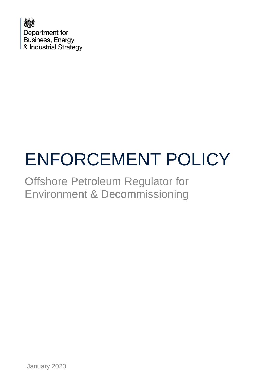

# ENFORCEMENT POLICY

Offshore Petroleum Regulator for Environment & Decommissioning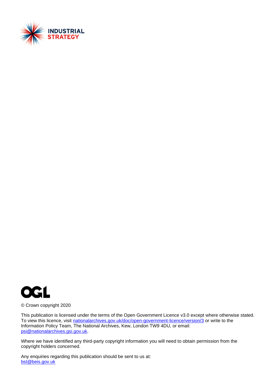



© Crown copyright 2020

This publication is licensed under the terms of the Open Government Licence v3.0 except where otherwise stated. To view this licence, visit [nationalarchives.gov.uk/doc/open-government-licence/version/3](http://nationalarchives.gov.uk/doc/open-government-licence/version/3/) or write to the Information Policy Team, The National Archives, Kew, London TW9 4DU, or email: [psi@nationalarchives.gsi.gov.uk.](mailto:psi@nationalarchives.gsi.gov.uk)

Where we have identified any third-party copyright information you will need to obtain permission from the copyright holders concerned.

Any enquiries regarding this publication should be sent to us at: [bst@beis.gov.uk](mailto:bst@beis.gov.uk)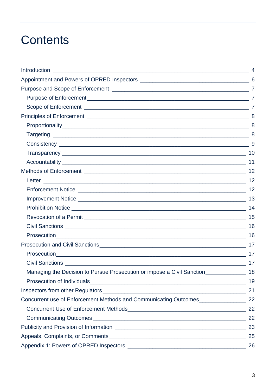# **Contents**

|                                                                                      | 17 |
|--------------------------------------------------------------------------------------|----|
|                                                                                      |    |
|                                                                                      | 17 |
| Managing the Decision to Pursue Prosecution or impose a Civil Sanction_________      | 18 |
|                                                                                      | 19 |
|                                                                                      |    |
| Concurrent use of Enforcement Methods and Communicating Outcomes_________________ 22 |    |
|                                                                                      | 22 |
|                                                                                      |    |
|                                                                                      |    |
|                                                                                      | 25 |
|                                                                                      |    |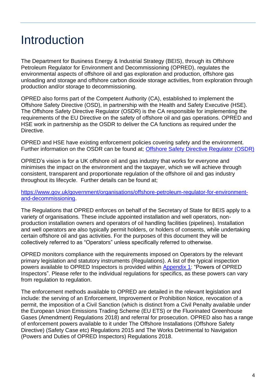# <span id="page-3-0"></span>Introduction

The Department for Business Energy & Industrial Strategy (BEIS), through its Offshore Petroleum Regulator for Environment and Decommissioning (OPRED), regulates the environmental aspects of offshore oil and gas exploration and production, offshore gas unloading and storage and offshore carbon dioxide storage activities, from exploration through production and/or storage to decommissioning.

OPRED also forms part of the Competent Authority (CA), established to implement the Offshore Safety Directive (OSD), in partnership with the Health and Safety Executive (HSE). The Offshore Safety Directive Regulator (OSDR) is the CA responsible for implementing the requirements of the EU Directive on the safety of offshore oil and gas operations. OPRED and HSE work in partnership as the OSDR to deliver the CA functions as required under the Directive.

OPRED and HSE have existing enforcement policies covering safety and the environment. Further information on the OSDR can be found at; [Offshore Safety Directive Regulator \(OSDR\)](http://www.hse.gov.uk/osdr/index.htm)

OPRED's vision is for a UK offshore oil and gas industry that works for everyone and minimises the impact on the environment and the taxpayer, which we will achieve through consistent, transparent and proportionate regulation of the offshore oil and gas industry throughout its lifecycle. Further details can be found at;

[https://www.gov.uk/government/organisations/offshore-petroleum-regulator-for-environment](https://www.gov.uk/government/organisations/offshore-petroleum-regulator-for-environment-and-decommissioning)[and-decommissioning.](https://www.gov.uk/government/organisations/offshore-petroleum-regulator-for-environment-and-decommissioning)

The Regulations that OPRED enforces on behalf of the Secretary of State for BEIS apply to a variety of organisations. These include appointed installation and well operators, nonproduction installation owners and operators of oil handling facilities (pipelines). Installation and well operators are also typically permit holders, or holders of consents, while undertaking certain offshore oil and gas activities. For the purposes of this document they will be collectively referred to as "Operators" unless specifically referred to otherwise.

OPRED monitors compliance with the requirements imposed on Operators by the relevant primary legislation and statutory instruments (Regulations). A list of the typical inspection powers available to OPRED Inspectors is provided within [Appendix 1:](#page-25-0) "Powers of OPRED Inspectors". Please refer to the individual regulations for specifics, as these powers can vary from regulation to regulation.

The enforcement methods available to OPRED are detailed in the relevant legislation and include: the serving of an Enforcement, Improvement or Prohibition Notice, revocation of a permit, the imposition of a Civil Sanction (which is distinct from a Civil Penalty available under the European Union Emissions Trading Scheme (EU ETS) or the Fluorinated Greenhouse Gases (Amendment) Regulations 2018) and referral for prosecution. OPRED also has a range of enforcement powers available to it under The Offshore Installations (Offshore Safety Directive) (Safety Case etc) Regulations 2015 and The Works Detrimental to Navigation (Powers and Duties of OPRED Inspectors) Regulations 2018.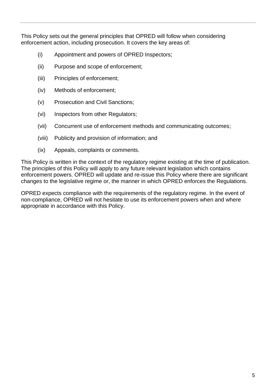This Policy sets out the general principles that OPRED will follow when considering enforcement action, including prosecution. It covers the key areas of:

- (i) Appointment and powers of OPRED Inspectors;
- (ii) Purpose and scope of enforcement;
- (iii) Principles of enforcement;
- (iv) Methods of enforcement;
- (v) Prosecution and Civil Sanctions;
- (vi) Inspectors from other Regulators;
- (vii) Concurrent use of enforcement methods and communicating outcomes;
- (viii) Publicity and provision of information; and
- (ix) Appeals, complaints or comments.

This Policy is written in the context of the regulatory regime existing at the time of publication. The principles of this Policy will apply to any future relevant legislation which contains enforcement powers. OPRED will update and re-issue this Policy where there are significant changes to the legislative regime or, the manner in which OPRED enforces the Regulations.

OPRED expects compliance with the requirements of the regulatory regime. In the event of non-compliance, OPRED will not hesitate to use its enforcement powers when and where appropriate in accordance with this Policy.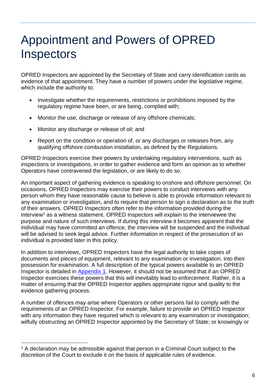# <span id="page-5-0"></span>Appointment and Powers of OPRED **Inspectors**

OPRED Inspectors are appointed by the Secretary of State and carry identification cards as evidence of that appointment. They have a number of powers under the legislative regime, which include the authority to:

- Investigate whether the requirements, restrictions or prohibitions imposed by the regulatory regime have been, or are being, complied with;
- Monitor the use, discharge or release of any offshore chemicals;
- Monitor any discharge or release of oil; and
- Report on the condition or operation of, or any discharges or releases from, any qualifying offshore combustion installation, as defined by the Regulations.

OPRED Inspectors exercise their powers by undertaking regulatory interventions, such as inspections or investigations, in order to gather evidence and form an opinion as to whether Operators have contravened the legislation, or are likely to do so.

An important aspect of gathering evidence is speaking to onshore and offshore personnel. On occasions, OPRED Inspectors may exercise their powers to conduct interviews with any person whom they have reasonable cause to believe is able to provide information relevant to any examination or investigation, and to require that person to sign a declaration as to the truth of their answers. OPRED Inspectors often refer to the information provided during the interview<sup>1</sup> as a witness statement. OPRED Inspectors will explain to the interviewee the purpose and nature of such interviews. If during this interview it becomes apparent that the individual may have committed an offence, the interview will be suspended and the individual will be advised to seek legal advice. Further information in respect of the prosecution of an individual is provided later in this policy.

In addition to interviews, OPRED Inspectors have the legal authority to take copies of documents and pieces of equipment, relevant to any examination or investigation, into their possession for examination. A full description of the typical powers available to an OPRED Inspector is detailed in [Appendix 1.](#page-25-0) However, it should not be assumed that if an OPRED Inspector exercises these powers that this will inevitably lead to enforcement. Rather, it is a matter of ensuring that the OPRED Inspector applies appropriate rigour and quality to the evidence gathering process.

A number of offences may arise where Operators or other persons fail to comply with the requirements of an OPRED Inspector. For example, failure to provide an OPRED Inspector with any information they have required which is relevant to any examination or investigation; wilfully obstructing an OPRED Inspector appointed by the Secretary of State; or knowingly or

 $1$  A declaration may be admissible against that person in a Criminal Court subject to the discretion of the Court to exclude it on the basis of applicable rules of evidence.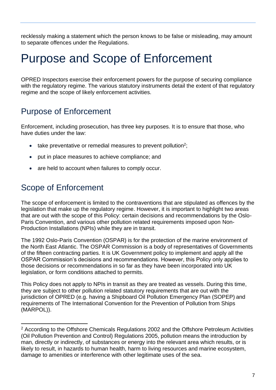recklessly making a statement which the person knows to be false or misleading, may amount to separate offences under the Regulations.

# <span id="page-6-0"></span>Purpose and Scope of Enforcement

OPRED Inspectors exercise their enforcement powers for the purpose of securing compliance with the regulatory regime. The various statutory instruments detail the extent of that regulatory regime and the scope of likely enforcement activities.

### <span id="page-6-1"></span>Purpose of Enforcement

Enforcement, including prosecution, has three key purposes. It is to ensure that those, who have duties under the law:

- $\bullet$  take preventative or remedial measures to prevent pollution<sup>2</sup>;
- put in place measures to achieve compliance; and
- are held to account when failures to comply occur.

# <span id="page-6-2"></span>Scope of Enforcement

The scope of enforcement is limited to the contraventions that are stipulated as offences by the legislation that make up the regulatory regime. However, it is important to highlight two areas that are out with the scope of this Policy: certain decisions and recommendations by the Oslo-Paris Convention, and various other pollution related requirements imposed upon Non-Production Installations (NPIs) while they are in transit.

The 1992 Oslo-Paris Convention (OSPAR) is for the protection of the marine environment of the North East Atlantic. The OSPAR Commission is a body of representatives of Governments of the fifteen contracting parties. It is UK Government policy to implement and apply all the OSPAR Commission's decisions and recommendations. However, this Policy only applies to those decisions or recommendations in so far as they have been incorporated into UK legislation, or form conditions attached to permits.

This Policy does not apply to NPIs in transit as they are treated as vessels. During this time, they are subject to other pollution related statutory requirements that are out with the jurisdiction of OPRED (e.g. having a Shipboard Oil Pollution Emergency Plan (SOPEP) and requirements of The International Convention for the Prevention of Pollution from Ships (MARPOL)).

<sup>&</sup>lt;sup>2</sup> According to the Offshore Chemicals Regulations 2002 and the Offshore Petroleum Activities (Oil Pollution Prevention and Control) Regulations 2005, pollution means the introduction by man, directly or indirectly, of substances or energy into the relevant area which results, or is likely to result, in hazards to human health, harm to living resources and marine ecosystem, damage to amenities or interference with other legitimate uses of the sea.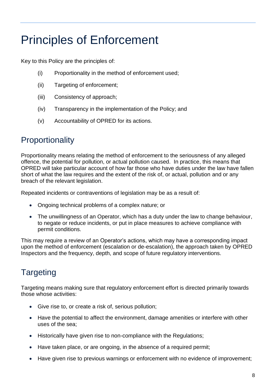# <span id="page-7-0"></span>Principles of Enforcement

Key to this Policy are the principles of:

- (i) Proportionality in the method of enforcement used;
- (ii) Targeting of enforcement;
- (iii) Consistency of approach;
- (iv) Transparency in the implementation of the Policy; and
- (v) Accountability of OPRED for its actions.

### <span id="page-7-1"></span>**Proportionality**

Proportionality means relating the method of enforcement to the seriousness of any alleged offence, the potential for pollution, or actual pollution caused. In practice, this means that OPRED will take particular account of how far those who have duties under the law have fallen short of what the law requires and the extent of the risk of, or actual, pollution and or any breach of the relevant legislation.

Repeated incidents or contraventions of legislation may be as a result of:

- Ongoing technical problems of a complex nature; or
- The unwillingness of an Operator, which has a duty under the law to change behaviour, to negate or reduce incidents, or put in place measures to achieve compliance with permit conditions.

This may require a review of an Operator's actions, which may have a corresponding impact upon the method of enforcement (escalation or de-escalation), the approach taken by OPRED Inspectors and the frequency, depth, and scope of future regulatory interventions.

# <span id="page-7-2"></span>**Targeting**

Targeting means making sure that regulatory enforcement effort is directed primarily towards those whose activities:

- Give rise to, or create a risk of, serious pollution;
- Have the potential to affect the environment, damage amenities or interfere with other uses of the sea;
- Historically have given rise to non-compliance with the Regulations;
- Have taken place, or are ongoing, in the absence of a required permit;
- Have given rise to previous warnings or enforcement with no evidence of improvement;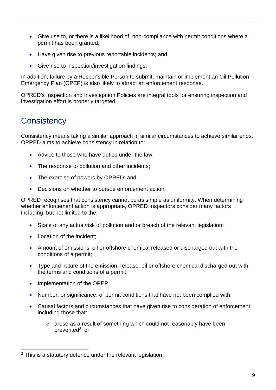- Give rise to, or there is a likelihood of, non-compliance with permit conditions where a permit has been granted;
- Have given rise to previous reportable incidents; and
- Give rise to inspection/investigation findings.

In addition, failure by a Responsible Person to submit, maintain or implement an Oil Pollution Emergency Plan (OPEP) is also likely to attract an enforcement response.

OPRED's Inspection and Investigation Policies are integral tools for ensuring inspection and investigation effort is properly targeted.

## <span id="page-8-0"></span>**Consistency**

Consistency means taking a similar approach in similar circumstances to achieve similar ends. OPRED aims to achieve consistency in relation to:

- Advice to those who have duties under the law;
- The response to pollution and other incidents;
- The exercise of powers by OPRED; and
- Decisions on whether to pursue enforcement action.

OPRED recognises that consistency cannot be as simple as uniformity. When determining whether enforcement action is appropriate, OPRED Inspectors consider many factors including, but not limited to the:

- Scale of any actual/risk of pollution and or breach of the relevant legislation;
- Location of the incident:
- Amount of emissions, oil or offshore chemical released or discharged out with the conditions of a permit;
- Type and nature of the emission, release, oil or offshore chemical discharged out with the terms and conditions of a permit;
- Implementation of the OPEP;
- Number, or significance, of permit conditions that have not been complied with;
- Causal factors and circumstances that have given rise to consideration of enforcement, including those that:
	- $\circ$  arose as a result of something which could not reasonably have been prevented<sup>3</sup>; or

 $3$  This is a statutory defence under the relevant legislation.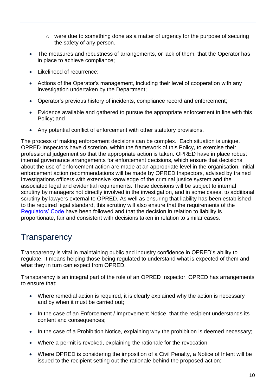- $\circ$  were due to something done as a matter of urgency for the purpose of securing the safety of any person.
- The measures and robustness of arrangements, or lack of them, that the Operator has in place to achieve compliance;
- Likelihood of recurrence:
- Actions of the Operator's management, including their level of cooperation with any investigation undertaken by the Department;
- Operator's previous history of incidents, compliance record and enforcement;
- Evidence available and gathered to pursue the appropriate enforcement in line with this Policy; and
- Any potential conflict of enforcement with other statutory provisions.

The process of making enforcement decisions can be complex. Each situation is unique. OPRED Inspectors have discretion, within the framework of this Policy, to exercise their professional judgement so that the appropriate action is taken. OPRED have in place robust internal governance arrangements for enforcement decisions, which ensure that decisions about the use of enforcement action are made at an appropriate level in the organisation. Initial enforcement action recommendations will be made by OPRED Inspectors, advised by trained investigations officers with extensive knowledge of the criminal justice system and the associated legal and evidential requirements. These decisions will be subject to internal scrutiny by managers not directly involved in the investigation, and in some cases, to additional scrutiny by lawyers external to OPRED. As well as ensuring that liability has been established to the required legal standard, this scrutiny will also ensure that the requirements of the [Regulators' Code](https://www.gov.uk/government/publications/regulators-code) have been followed and that the decision in relation to liability is proportionate, fair and consistent with decisions taken in relation to similar cases.

### <span id="page-9-0"></span>**Transparency**

Transparency is vital in maintaining public and industry confidence in OPRED's ability to regulate. It means helping those being regulated to understand what is expected of them and what they in turn can expect from OPRED.

Transparency is an integral part of the role of an OPRED Inspector. OPRED has arrangements to ensure that:

- Where remedial action is required, it is clearly explained why the action is necessary and by when it must be carried out;
- In the case of an Enforcement / Improvement Notice, that the recipient understands its content and consequences;
- In the case of a Prohibition Notice, explaining why the prohibition is deemed necessary;
- Where a permit is revoked, explaining the rationale for the revocation;
- Where OPRED is considering the imposition of a Civil Penalty, a Notice of Intent will be issued to the recipient setting out the rationale behind the proposed action;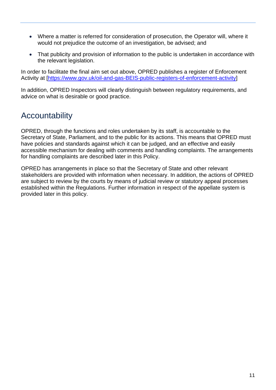- Where a matter is referred for consideration of prosecution, the Operator will, where it would not prejudice the outcome of an investigation, be advised; and
- That publicity and provision of information to the public is undertaken in accordance with the relevant legislation.

In order to facilitate the final aim set out above, OPRED publishes a register of Enforcement Activity at [\[https://www.gov.uk/oil-and-gas-BEIS-public-registers-of-enforcement-activity\]](https://www.gov.uk/oil-and-gas-decc-public-registers-of-enforcement-activity)

In addition, OPRED Inspectors will clearly distinguish between regulatory requirements, and advice on what is desirable or good practice.

### <span id="page-10-0"></span>Accountability

OPRED, through the functions and roles undertaken by its staff, is accountable to the Secretary of State, Parliament, and to the public for its actions. This means that OPRED must have policies and standards against which it can be judged, and an effective and easily accessible mechanism for dealing with comments and handling complaints. The arrangements for handling complaints are described later in this Policy.

OPRED has arrangements in place so that the Secretary of State and other relevant stakeholders are provided with information when necessary. In addition, the actions of OPRED are subject to review by the courts by means of judicial review or statutory appeal processes established within the Regulations. Further information in respect of the appellate system is provided later in this policy.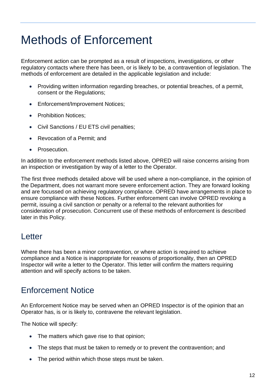# <span id="page-11-0"></span>Methods of Enforcement

Enforcement action can be prompted as a result of inspections, investigations, or other regulatory contacts where there has been, or is likely to be, a contravention of legislation. The methods of enforcement are detailed in the applicable legislation and include:

- Providing written information regarding breaches, or potential breaches, of a permit, consent or the Regulations;
- Enforcement/Improvement Notices;
- Prohibition Notices:
- Civil Sanctions / EU ETS civil penalties;
- Revocation of a Permit; and
- Prosecution.

In addition to the enforcement methods listed above, OPRED will raise concerns arising from an inspection or investigation by way of a letter to the Operator.

The first three methods detailed above will be used where a non-compliance, in the opinion of the Department, does not warrant more severe enforcement action. They are forward looking and are focussed on achieving regulatory compliance. OPRED have arrangements in place to ensure compliance with these Notices. Further enforcement can involve OPRED revoking a permit, issuing a civil sanction or penalty or a referral to the relevant authorities for consideration of prosecution. Concurrent use of these methods of enforcement is described later in this Policy.

#### <span id="page-11-1"></span>**Letter**

Where there has been a minor contravention, or where action is required to achieve compliance and a Notice is inappropriate for reasons of proportionality, then an OPRED Inspector will write a letter to the Operator. This letter will confirm the matters requiring attention and will specify actions to be taken.

#### <span id="page-11-2"></span>Enforcement Notice

An Enforcement Notice may be served when an OPRED Inspector is of the opinion that an Operator has, is or is likely to, contravene the relevant legislation.

The Notice will specify:

- The matters which gave rise to that opinion;
- The steps that must be taken to remedy or to prevent the contravention; and
- The period within which those steps must be taken.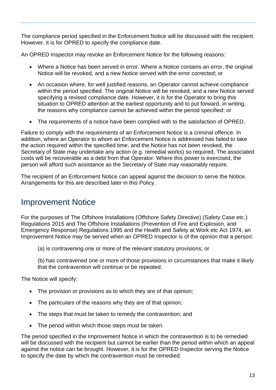The compliance period specified in the Enforcement Notice will be discussed with the recipient. However, it is for OPRED to specify the compliance date.

An OPRED Inspector may revoke an Enforcement Notice for the following reasons:

- Where a Notice has been served in error. Where a Notice contains an error, the original Notice will be revoked, and a new Notice served with the error corrected; or
- An occasion where, for well justified reasons, an Operator cannot achieve compliance within the period specified. The original Notice will be revoked, and a new Notice served specifying a revised compliance date. However, it is for the Operator to bring this situation to OPRED attention at the earliest opportunity and to put forward, in writing, the reasons why compliance cannot be achieved within the period specified; or
- The requirements of a notice have been complied with to the satisfaction of OPRED.

Failure to comply with the requirements of an Enforcement Notice is a criminal offence. In addition, where an Operator to whom an Enforcement Notice is addressed has failed to take the action required within the specified time, and the Notice has not been revoked, the Secretary of State may undertake any action (e.g. remedial works) so required. The associated costs will be recoverable as a debt from that Operator. Where this power is exercised, the person will afford such assistance as the Secretary of State may reasonably require.

The recipient of an Enforcement Notice can appeal against the decision to serve the Notice. Arrangements for this are described later in this Policy.

#### <span id="page-12-0"></span>Improvement Notice

For the purposes of The Offshore Installations (Offshore Safety Directive) (Safety Case etc.) Regulations 2015 and The Offshore Installations (Prevention of Fire and Explosion, and Emergency Response) Regulations 1995 and the Health and Safety at Work etc Act 1974, an Improvement Notice may be served when an OPRED Inspector is of the opinion that a person:

(a) is contravening one or more of the relevant statutory provisions; or

(b) has contravened one or more of those provisions in circumstances that make it likely that the contravention will continue or be repeated.

The Notice will specify:

- The provision or provisions as to which they are of that opinion;
- The particulars of the reasons why they are of that opinion;
- The steps that must be taken to remedy the contravention; and
- The period within which those steps must be taken.

The period specified in the Improvement Notice in which the contravention is to be remedied will be discussed with the recipient but cannot be earlier than the period within which an appeal against the notice can be brought. However, it is for the OPRED Inspector serving the Notice to specify the date by which the contravention must be remedied.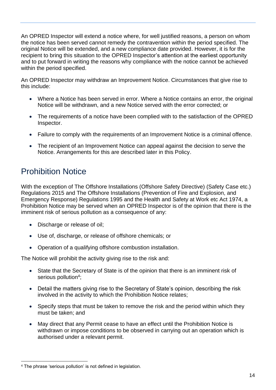An OPRED Inspector will extend a notice where, for well justified reasons, a person on whom the notice has been served cannot remedy the contravention within the period specified. The original Notice will be extended, and a new compliance date provided. However, it is for the recipient to bring this situation to the OPRED Inspector's attention at the earliest opportunity and to put forward in writing the reasons why compliance with the notice cannot be achieved within the period specified.

An OPRED Inspector may withdraw an Improvement Notice. Circumstances that give rise to this include:

- Where a Notice has been served in error. Where a Notice contains an error, the original Notice will be withdrawn, and a new Notice served with the error corrected; or
- The requirements of a notice have been complied with to the satisfaction of the OPRED Inspector.
- Failure to comply with the requirements of an Improvement Notice is a criminal offence.
- The recipient of an Improvement Notice can appeal against the decision to serve the Notice. Arrangements for this are described later in this Policy.

### <span id="page-13-0"></span>Prohibition Notice

With the exception of The Offshore Installations (Offshore Safety Directive) (Safety Case etc.) Regulations 2015 and The Offshore Installations (Prevention of Fire and Explosion, and Emergency Response) Regulations 1995 and the Health and Safety at Work etc Act 1974, a Prohibition Notice may be served when an OPRED Inspector is of the opinion that there is the imminent risk of serious pollution as a consequence of any:

- Discharge or release of oil;
- Use of, discharge, or release of offshore chemicals; or
- Operation of a qualifying offshore combustion installation.

The Notice will prohibit the activity giving rise to the risk and:

- State that the Secretary of State is of the opinion that there is an imminent risk of serious pollution<sup>4</sup>;
- Detail the matters giving rise to the Secretary of State's opinion, describing the risk involved in the activity to which the Prohibition Notice relates;
- Specify steps that must be taken to remove the risk and the period within which they must be taken; and
- May direct that any Permit cease to have an effect until the Prohibition Notice is withdrawn or impose conditions to be observed in carrying out an operation which is authorised under a relevant permit.

<sup>4</sup> The phrase 'serious pollution' is not defined in legislation.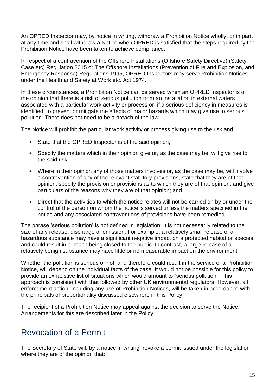An OPRED Inspector may, by notice in writing, withdraw a Prohibition Notice wholly, or in part, at any time and shall withdraw a Notice when OPRED is satisfied that the steps required by the Prohibition Notice have been taken to achieve compliance.

In respect of a contravention of the Offshore Installations (Offshore Safety Directive) (Safety Case etc) Regulation 2015 or The Offshore Installations (Prevention of Fire and Explosion, and Emergency Response) Regulations 1995, OPRED Inspectors may serve Prohibition Notices under the Health and Safety at Work etc. Act 1974.

In these circumstances, a Prohibition Notice can be served when an OPRED Inspector is of the opinion that there is a risk of serious pollution from an installation in external waters associated with a particular work activity or process or, if a serious deficiency in measures is identified, to prevent or mitigate the effects of major hazards which may give rise to serious pollution. There does not need to be a breach of the law.

The Notice will prohibit the particular work activity or process giving rise to the risk and:

- State that the OPRED Inspector is of the said opinion;
- Specify the matters which in their opinion give or, as the case may be, will give rise to the said risk;
- Where in their opinion any of those matters involves or, as the case may be, will involve a contravention of any of the relevant statutory provisions, state that they are of that opinion, specify the provision or provisions as to which they are of that opinion, and give particulars of the reasons why they are of that opinion; and
- Direct that the activities to which the notice relates will not be carried on by or under the control of the person on whom the notice is served unless the matters specified in the notice and any associated contraventions of provisions have been remedied.

The phrase 'serious pollution' is not defined in legislation. It is not necessarily related to the size of any release, discharge or emission. For example, a relatively small release of a hazardous substance may have a significant negative impact on a protected habitat or species and could result in a beach being closed to the public. In contrast, a large release of a relatively benign substance may have little or no measurable impact on the environment.

Whether the pollution is serious or not, and therefore could result in the service of a Prohibition Notice, will depend on the individual facts of the case. It would not be possible for this policy to provide an exhaustive list of situations which would amount to "serious pollution". This approach is consistent with that followed by other UK environmental regulators. However, all enforcement action, including any use of Prohibition Notices, will be taken in accordance with the principals of proportionality discussed elsewhere in this Policy

The recipient of a Prohibition Notice may appeal against the decision to serve the Notice. Arrangements for this are described later in the Policy.

#### <span id="page-14-0"></span>Revocation of a Permit

The Secretary of State will, by a notice in writing, revoke a permit issued under the legislation where they are of the opinion that: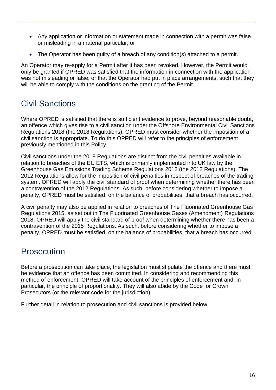- Any application or information or statement made in connection with a permit was false or misleading in a material particular; or
- The Operator has been quilty of a breach of any condition(s) attached to a permit.

An Operator may re-apply for a Permit after it has been revoked. However, the Permit would only be granted if OPRED was satisfied that the information in connection with the application was not misleading or false, or that the Operator had put in place arrangements, such that they will be able to comply with the conditions on the granting of the Permit.

### <span id="page-15-0"></span>Civil Sanctions

Where OPRED is satisfied that there is sufficient evidence to prove, beyond reasonable doubt, an offence which gives rise to a civil sanction under the Offshore Environmental Civil Sanctions Regulations 2018 (the 2018 Regulations), OPRED must consider whether the imposition of a civil sanction is appropriate. To do this OPRED will refer to the principles of enforcement previously mentioned in this Policy.

Civil sanctions under the 2018 Regulations are distinct from the civil penalties available in relation to breaches of the EU ETS, which is primarily implemented into UK law by the Greenhouse Gas Emissions Trading Scheme Regulations 2012 (the 2012 Regulations). The 2012 Regulations allow for the imposition of civil penalties in respect of breaches of the trading system. OPRED will apply the civil standard of proof when determining whether there has been a contravention of the 2012 Regulations. As such, before considering whether to impose a penalty, OPRED must be satisfied, on the balance of probabilities, that a breach has occurred.

A civil penalty may also be applied in relation to breaches of The Fluorinated Greenhouse Gas Regulations 2015, as set out in The Fluorinated Greenhouse Gases (Amendment) Regulations 2018. OPRED will apply the civil standard of proof when determining whether there has been a contravention of the 2015 Regulations. As such, before considering whether to impose a penalty, OPRED must be satisfied, on the balance of probabilities, that a breach has occurred.

#### <span id="page-15-1"></span>**Prosecution**

Before a prosecution can take place, the legislation must stipulate the offence and there must be evidence that an offence has been committed. In considering and recommending this method of enforcement, OPRED will take account of the principles of enforcement and, in particular, the principle of proportionality. They will also abide by the Code for Crown Prosecutors (or the relevant code for the jurisdiction).

Further detail in relation to prosecution and civil sanctions is provided below.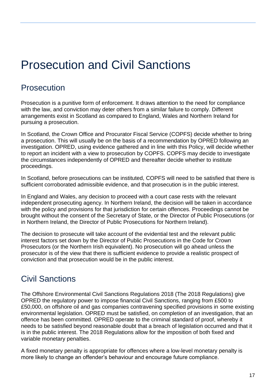# <span id="page-16-0"></span>Prosecution and Civil Sanctions

### <span id="page-16-1"></span>Prosecution

Prosecution is a punitive form of enforcement. It draws attention to the need for compliance with the law, and conviction may deter others from a similar failure to comply. Different arrangements exist in Scotland as compared to England, Wales and Northern Ireland for pursuing a prosecution.

In Scotland, the Crown Office and Procurator Fiscal Service (COPFS) decide whether to bring a prosecution. This will usually be on the basis of a recommendation by OPRED following an investigation. OPRED, using evidence gathered and in line with this Policy, will decide whether to report an incident with a view to prosecution by COPFS. COPFS may decide to investigate the circumstances independently of OPRED and thereafter decide whether to institute proceedings.

In Scotland, before prosecutions can be instituted, COPFS will need to be satisfied that there is sufficient corroborated admissible evidence, and that prosecution is in the public interest.

In England and Wales, any decision to proceed with a court case rests with the relevant independent prosecuting agency. In Northern Ireland, the decision will be taken in accordance with the policy and provisions for that jurisdiction for certain offences. Proceedings cannot be brought without the consent of the Secretary of State, or the Director of Public Prosecutions (or in Northern Ireland, the Director of Public Prosecutions for Northern Ireland).

The decision to prosecute will take account of the evidential test and the relevant public interest factors set down by the Director of Public Prosecutions in the Code for Crown Prosecutors (or the Northern Irish equivalent). No prosecution will go ahead unless the prosecutor is of the view that there is sufficient evidence to provide a realistic prospect of conviction and that prosecution would be in the public interest.

### <span id="page-16-2"></span>Civil Sanctions

The Offshore Environmental Civil Sanctions Regulations 2018 (The 2018 Regulations) give OPRED the regulatory power to impose financial Civil Sanctions, ranging from £500 to £50,000, on offshore oil and gas companies contravening specified provisions in some existing environmental legislation. OPRED must be satisfied, on completion of an investigation, that an offence has been committed. OPRED operate to the criminal standard of proof, whereby it needs to be satisfied beyond reasonable doubt that a breach of legislation occurred and that it is in the public interest. The 2018 Regulations allow for the imposition of both fixed and variable monetary penalties.

A fixed monetary penalty is appropriate for offences where a low-level monetary penalty is more likely to change an offender's behaviour and encourage future compliance.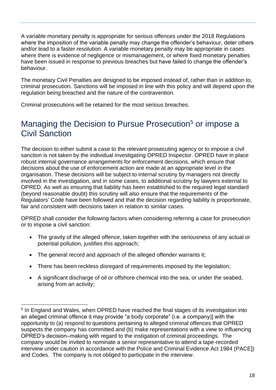A variable monetary penalty is appropriate for serious offences under the 2018 Regulations where the imposition of the variable penalty may change the offender's behaviour, deter others and/or lead to a faster resolution. A variable monetary penalty may be appropriate in cases where there is evidence of negligence or mismanagement, or where fixed monetary penalties have been issued in response to previous breaches but have failed to change the offender's behaviour.

The monetary Civil Penalties are designed to be imposed instead of, rather than in addition to, criminal prosecution. Sanctions will be imposed in line with this policy and will depend upon the regulation being breached and the nature of the contravention.

Criminal prosecutions will be retained for the most serious breaches.

### <span id="page-17-0"></span>Managing the Decision to Pursue Prosecution<sup>5</sup> or impose a Civil Sanction

The decision to either submit a case to the relevant prosecuting agency or to impose a civil sanction is not taken by the individual investigating OPRED Inspector. OPRED have in place robust internal governance arrangements for enforcement decisions, which ensure that decisions about the use of enforcement action are made at an appropriate level in the organisation. These decisions will be subject to internal scrutiny by managers not directly involved in the investigation, and in some cases, to additional scrutiny by lawyers external to OPRED. As well as ensuring that liability has been established to the required legal standard (beyond reasonable doubt) this scrutiny will also ensure that the requirements of the Regulators' Code have been followed and that the decision regarding liability is proportionate, fair and consistent with decisions taken in relation to similar cases.

OPRED shall consider the following factors when considering referring a case for prosecution or to impose a civil sanction:

- The gravity of the alleged offence, taken together with the seriousness of any actual or potential pollution, justifies this approach;
- The general record and approach of the alleged offender warrants it;
- There has been reckless disregard of requirements imposed by the legislation:
- A significant discharge of oil or offshore chemical into the sea, or under the seabed, arising from an activity;

<sup>&</sup>lt;sup>5</sup> In England and Wales, when OPRED have reached the final stages of its investigation into an alleged criminal offence it may provide "a body corporate" (i.e. a company)] with the opportunity to (a) respond to questions pertaining to alleged criminal offences that OPRED suspects the company has committed and (b) make representations with a view to influencing OPRED's decision–making with regard to the instigation of criminal proceedings. The company would be invited to nominate a senior representative to attend a tape-recorded interview under caution in accordance with the Police and Criminal Evidence Act 1984 (PACE]) and Codes. The company is not obliged to participate in the interview.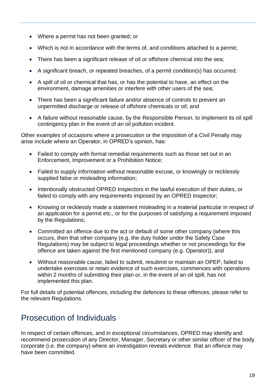- Where a permit has not been granted; or
- Which is not in accordance with the terms of, and conditions attached to a permit;
- There has been a significant release of oil or offshore chemical into the sea:
- A significant breach, or repeated breaches, of a permit condition(s) has occurred;
- A spill of oil or chemical that has, or has the potential to have, an effect on the environment, damage amenities or interfere with other users of the sea;
- There has been a significant failure and/or absence of controls to prevent an unpermitted discharge or release of offshore chemicals or oil; and
- A failure without reasonable cause, by the Responsible Person, to implement its oil spill contingency plan in the event of an oil pollution incident.

Other examples of occasions where a prosecution or the imposition of a Civil Penalty may arise include where an Operator, in OPRED's opinion, has:

- Failed to comply with formal remedial requirements such as those set out in an Enforcement, Improvement or a Prohibition Notice;
- Failed to supply information without reasonable excuse, or knowingly or recklessly supplied false or misleading information;
- Intentionally obstructed OPRED Inspectors in the lawful execution of their duties, or failed to comply with any requirements imposed by an OPRED Inspector;
- Knowing or recklessly made a statement misleading in a material particular in respect of an application for a permit etc., or for the purposes of satisfying a requirement imposed by the Regulations;
- Committed an offence due to the act or default of some other company (where this occurs, then that other company (e.g. the duty holder under the Safety Case Regulations) may be subject to legal proceedings whether or not proceedings for the offence are taken against the first mentioned company (e.g. Operator)); and
- Without reasonable cause, failed to submit, resubmit or maintain an OPEP, failed to undertake exercises or retain evidence of such exercises, commences with operations within 2 months of submitting their plan or, in the event of an oil spill, has not implemented this plan.

For full details of potential offences, including the defences to these offences, please refer to the relevant Regulations.

### <span id="page-18-0"></span>Prosecution of Individuals

In respect of certain offences, and in exceptional circumstances, OPRED may identify and recommend prosecution of any Director, Manager, Secretary or other similar officer of the body corporate (i.e. the company) where an investigation reveals evidence that an offence may have been committed.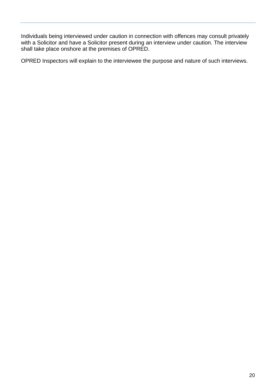Individuals being interviewed under caution in connection with offences may consult privately with a Solicitor and have a Solicitor present during an interview under caution. The interview shall take place onshore at the premises of OPRED.

OPRED Inspectors will explain to the interviewee the purpose and nature of such interviews.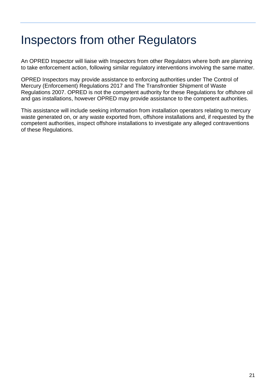# <span id="page-20-0"></span>Inspectors from other Regulators

An OPRED Inspector will liaise with Inspectors from other Regulators where both are planning to take enforcement action, following similar regulatory interventions involving the same matter.

OPRED Inspectors may provide assistance to enforcing authorities under The Control of Mercury (Enforcement) Regulations 2017 and The Transfrontier Shipment of Waste Regulations 2007. OPRED is not the competent authority for these Regulations for offshore oil and gas installations, however OPRED may provide assistance to the competent authorities.

This assistance will include seeking information from installation operators relating to mercury waste generated on, or any waste exported from, offshore installations and, if requested by the competent authorities, inspect offshore installations to investigate any alleged contraventions of these Regulations.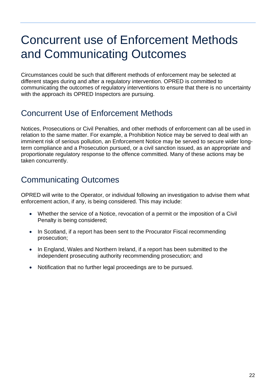# <span id="page-21-0"></span>Concurrent use of Enforcement Methods and Communicating Outcomes

Circumstances could be such that different methods of enforcement may be selected at different stages during and after a regulatory intervention. OPRED is committed to communicating the outcomes of regulatory interventions to ensure that there is no uncertainty with the approach its OPRED Inspectors are pursuing.

### <span id="page-21-1"></span>Concurrent Use of Enforcement Methods

Notices, Prosecutions or Civil Penalties, and other methods of enforcement can all be used in relation to the same matter. For example, a Prohibition Notice may be served to deal with an imminent risk of serious pollution, an Enforcement Notice may be served to secure wider longterm compliance and a Prosecution pursued, or a civil sanction issued, as an appropriate and proportionate regulatory response to the offence committed. Many of these actions may be taken concurrently.

## <span id="page-21-2"></span>Communicating Outcomes

OPRED will write to the Operator, or individual following an investigation to advise them what enforcement action, if any, is being considered. This may include:

- Whether the service of a Notice, revocation of a permit or the imposition of a Civil Penalty is being considered;
- In Scotland, if a report has been sent to the Procurator Fiscal recommending prosecution;
- In England, Wales and Northern Ireland, if a report has been submitted to the independent prosecuting authority recommending prosecution; and
- Notification that no further legal proceedings are to be pursued.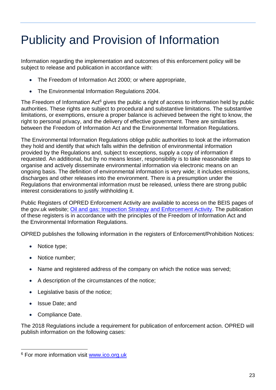# <span id="page-22-0"></span>Publicity and Provision of Information

Information regarding the implementation and outcomes of this enforcement policy will be subject to release and publication in accordance with:

- The Freedom of Information Act 2000; or where appropriate,
- The Environmental Information Regulations 2004.

The Freedom of Information  $Act^6$  gives the public a right of access to information held by public authorities. These rights are subject to procedural and substantive limitations. The substantive limitations, or exemptions, ensure a proper balance is achieved between the right to know, the right to personal privacy, and the delivery of effective government. There are similarities between the Freedom of Information Act and the Environmental Information Regulations.

The Environmental Information Regulations oblige public authorities to look at the information they hold and identify that which falls within the definition of environmental information provided by the Regulations and, subject to exceptions, supply a copy of information if requested. An additional, but by no means lesser, responsibility is to take reasonable steps to organise and actively disseminate environmental information via electronic means on an ongoing basis. The definition of environmental information is very wide; it includes emissions, discharges and other releases into the environment. There is a presumption under the Regulations that environmental information must be released, unless there are strong public interest considerations to justify withholding it.

Public Registers of OPRED Enforcement Activity are available to access on the BEIS pages of the gov.uk website; [Oil and gas: Inspection Strategy and Enforcement Activity.](https://www.gov.uk/guidance/oil-and-gas-decc-public-registers-of-enforcement-activity) The publication of these registers is in accordance with the principles of the Freedom of Information Act and the Environmental Information Regulations.

OPRED publishes the following information in the registers of Enforcement/Prohibition Notices:

- Notice type:
- Notice number;
- Name and registered address of the company on which the notice was served;
- A description of the circumstances of the notice;
- Legislative basis of the notice;
- Issue Date; and
- Compliance Date.

The 2018 Regulations include a requirement for publication of enforcement action. OPRED will publish information on the following cases:

<sup>&</sup>lt;sup>6</sup> For more information visit [www.ico.org.uk](http://www.ico.org.uk/)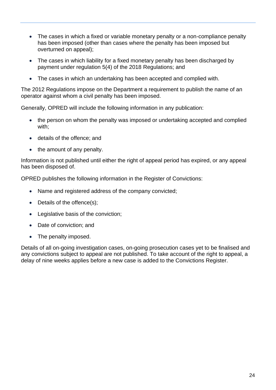- The cases in which a fixed or variable monetary penalty or a non-compliance penalty has been imposed (other than cases where the penalty has been imposed but overturned on appeal);
- The cases in which liability for a fixed monetary penalty has been discharged by payment under regulation 5(4) of the 2018 Regulations; and
- The cases in which an undertaking has been accepted and complied with.

The 2012 Regulations impose on the Department a requirement to publish the name of an operator against whom a civil penalty has been imposed.

Generally, OPRED will include the following information in any publication:

- the person on whom the penalty was imposed or undertaking accepted and complied with;
- details of the offence; and
- the amount of any penalty.

Information is not published until either the right of appeal period has expired, or any appeal has been disposed of.

OPRED publishes the following information in the Register of Convictions:

- Name and registered address of the company convicted;
- Details of the offence(s);
- Legislative basis of the conviction;
- Date of conviction; and
- The penalty imposed.

Details of all on-going investigation cases, on-going prosecution cases yet to be finalised and any convictions subject to appeal are not published. To take account of the right to appeal, a delay of nine weeks applies before a new case is added to the Convictions Register.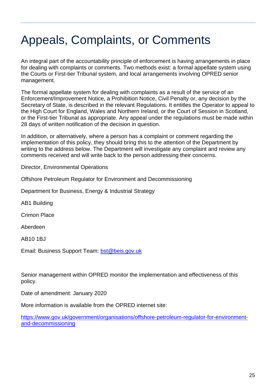# <span id="page-24-0"></span>Appeals, Complaints, or Comments

An integral part of the accountability principle of enforcement is having arrangements in place for dealing with complaints or comments. Two methods exist: a formal appellate system using the Courts or First-tier Tribunal system, and local arrangements involving OPRED senior management.

The formal appellate system for dealing with complaints as a result of the service of an Enforcement/Improvement Notice, a Prohibition Notice, Civil Penalty or, any decision by the Secretary of State, is described in the relevant Regulations. It entitles the Operator to appeal to the High Court for England, Wales and Northern Ireland, or the Court of Session in Scotland, or the First-tier Tribunal as appropriate. Any appeal under the regulations must be made within 28 days of written notification of the decision in question.

In addition, or alternatively, where a person has a complaint or comment regarding the implementation of this policy, they should bring this to the attention of the Department by writing to the address below. The Department will investigate any complaint and review any comments received and will write back to the person addressing their concerns.

Director, Environmental Operations

Offshore Petroleum Regulator for Environment and Decommissioning

Department for Business, Energy & Industrial Strategy

AB1 Building

Crimon Place

Aberdeen

AB10 1BJ

Email: Business Support Team: [bst@beis.gov.uk](mailto:bst@beis.gov.uk)

Senior management within OPRED monitor the implementation and effectiveness of this policy.

Date of amendment: January 2020

More information is available from the OPRED internet site:

[https://www.gov.uk/government/organisations/offshore-petroleum-regulator-for-environment](https://www.gov.uk/government/organisations/offshore-petroleum-regulator-for-environment-and-decommissioning)[and-decommissioning](https://www.gov.uk/government/organisations/offshore-petroleum-regulator-for-environment-and-decommissioning)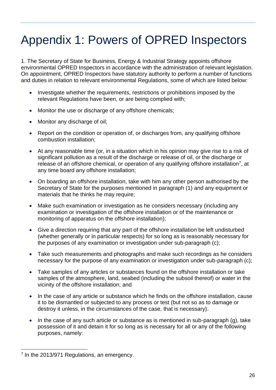# <span id="page-25-0"></span>Appendix 1: Powers of OPRED Inspectors

1. The Secretary of State for Business, Energy & Industrial Strategy appoints offshore environmental OPRED Inspectors in accordance with the administration of relevant legislation. On appointment, OPRED Inspectors have statutory authority to perform a number of functions and duties in relation to relevant environmental Regulations, some of which are listed below:

- Investigate whether the requirements, restrictions or prohibitions imposed by the relevant Regulations have been, or are being complied with;
- Monitor the use or discharge of any offshore chemicals;
- Monitor any discharge of oil;
- Report on the condition or operation of, or discharges from, any qualifying offshore combustion installation;
- At any reasonable time (or, in a situation which in his opinion may give rise to a risk of significant pollution as a result of the discharge or release of oil, or the discharge or release of an offshore chemical, or operation of any qualifying offshore installation<sup>7</sup>, at any time board any offshore installation;
- On boarding an offshore installation, take with him any other person authorised by the Secretary of State for the purposes mentioned in paragraph (1) and any equipment or materials that he thinks he may require;
- Make such examination or investigation as he considers necessary (including any examination or investigation of the offshore installation or of the maintenance or monitoring of apparatus on the offshore installation);
- Give a direction requiring that any part of the offshore installation be left undisturbed (whether generally or in particular respects) for so long as is reasonably necessary for the purposes of any examination or investigation under sub-paragraph (c);
- Take such measurements and photographs and make such recordings as he considers necessary for the purpose of any examination or investigation under sub-paragraph (c);
- Take samples of any articles or substances found on the offshore installation or take samples of the atmosphere, land, seabed (including the subsoil thereof) or water in the vicinity of the offshore installation; and
- In the case of any article or substance which he finds on the offshore installation, cause it to be dismantled or subjected to any process or test (but not so as to damage or destroy it unless, in the circumstances of the case, that is necessary).
- In the case of any such article or substance as is mentioned in sub-paragraph (g), take possession of it and detain it for so long as is necessary for all or any of the following purposes, namely:

<sup>&</sup>lt;sup>7</sup> In the 2013/971 Regulations, an emergency.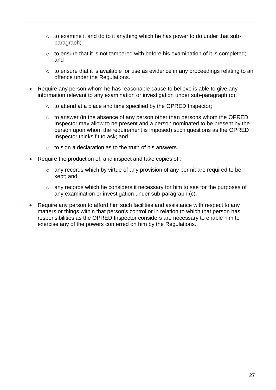- $\circ$  to examine it and do to it anything which he has power to do under that subparagraph;
- $\circ$  to ensure that it is not tampered with before his examination of it is completed; and
- o to ensure that it is available for use as evidence in any proceedings relating to an offence under the Regulations.
- Require any person whom he has reasonable cause to believe is able to give any information relevant to any examination or investigation under sub-paragraph (c):
	- o to attend at a place and time specified by the OPRED Inspector;
	- o to answer (in the absence of any person other than persons whom the OPRED Inspector may allow to be present and a person nominated to be present by the person upon whom the requirement is imposed) such questions as the OPRED Inspector thinks fit to ask; and
	- o to sign a declaration as to the truth of his answers.
- Require the production of, and inspect and take copies of :
	- o any records which by virtue of any provision of any permit are required to be kept; and
	- o any records which he considers it necessary for him to see for the purposes of any examination or investigation under sub-paragraph (c).
- Require any person to afford him such facilities and assistance with respect to any matters or things within that person's control or in relation to which that person has responsibilities as the OPRED Inspector considers are necessary to enable him to exercise any of the powers conferred on him by the Regulations.